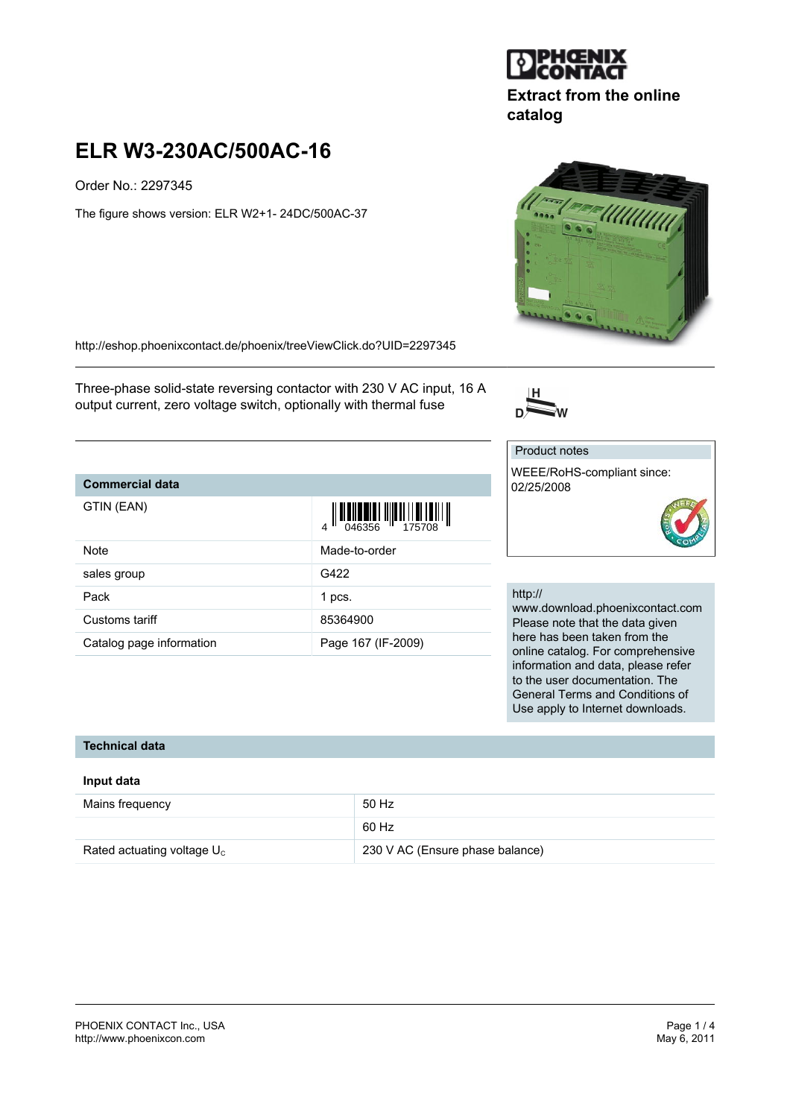

Order No.: 2297345

The figure shows version: ELR W2+1- 24DC/500AC-37

<http://eshop.phoenixcontact.de/phoenix/treeViewClick.do?UID=2297345>

Three-phase solid-state reversing contactor with 230 V AC input, 16 A output current, zero voltage switch, optionally with thermal fuse

# **Commercial data**

| GTIN (EAN)               | $\frac{1}{4}$ $\frac{1}{2}$ $\frac{1}{2}$ $\frac{1}{2}$ $\frac{1}{2}$ $\frac{1}{2}$ $\frac{1}{2}$ $\frac{1}{2}$ $\frac{1}{2}$ $\frac{1}{2}$ $\frac{1}{2}$ $\frac{1}{2}$ $\frac{1}{2}$ $\frac{1}{2}$ $\frac{1}{2}$ $\frac{1}{2}$ $\frac{1}{2}$ $\frac{1}{2}$ $\frac{1}{2}$ $\frac{1}{2}$ $\frac{1}{2}$ $\frac{1}{2}$ |
|--------------------------|---------------------------------------------------------------------------------------------------------------------------------------------------------------------------------------------------------------------------------------------------------------------------------------------------------------------|
| Note                     | Made-to-order                                                                                                                                                                                                                                                                                                       |
| sales group              | G422                                                                                                                                                                                                                                                                                                                |
| Pack                     | 1 pcs.                                                                                                                                                                                                                                                                                                              |
| Customs tariff           | 85364900                                                                                                                                                                                                                                                                                                            |
| Catalog page information | Page 167 (IF-2009)                                                                                                                                                                                                                                                                                                  |

#### http://

www.download.phoenixcontact.com Please note that the data given here has been taken from the online catalog. For comprehensive information and data, please refer to the user documentation. The General Terms and Conditions of Use apply to Internet downloads.

### **Technical data**

### **Input data**

| Mains frequency               | 50 Hz                           |
|-------------------------------|---------------------------------|
|                               | 60 Hz                           |
| Rated actuating voltage $U_c$ | 230 V AC (Ensure phase balance) |





**catalog**

**Extract from the online**

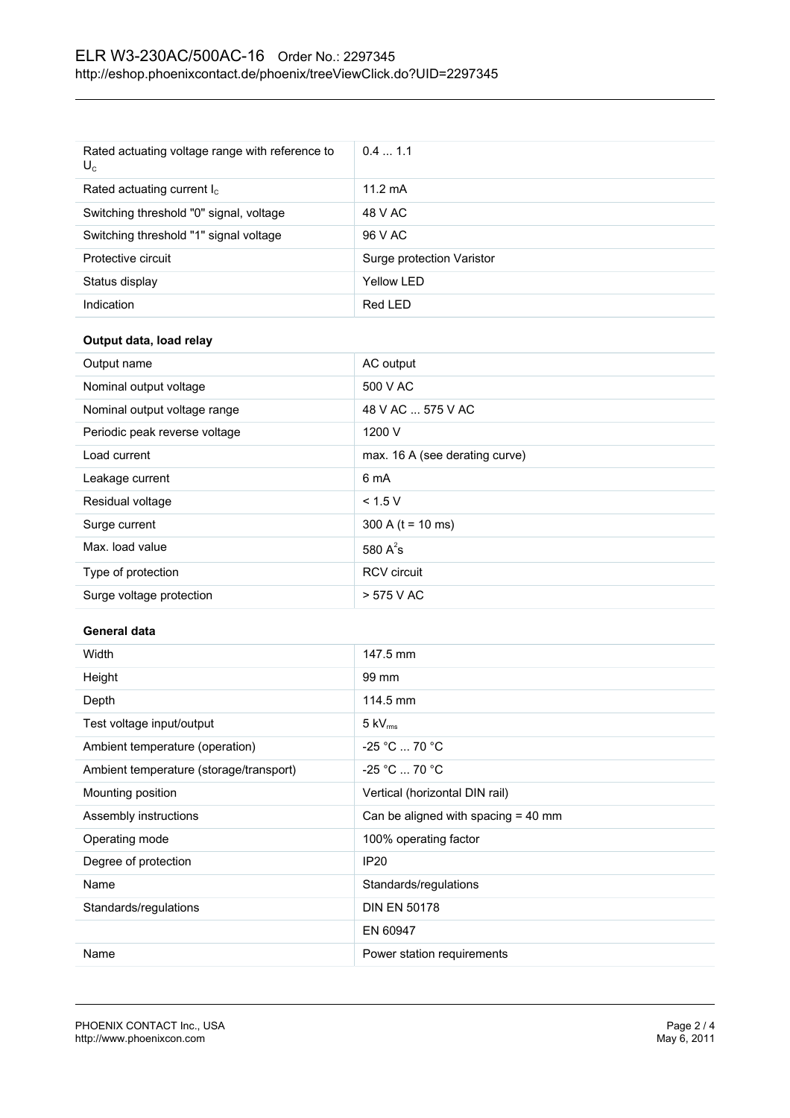| Rated actuating voltage range with reference to<br>$U_c$ | 0.41.1                    |
|----------------------------------------------------------|---------------------------|
| Rated actuating current $I_c$                            | $11.2 \text{ mA}$         |
| Switching threshold "0" signal, voltage                  | 48 V AC                   |
| Switching threshold "1" signal voltage                   | 96 V AC                   |
| Protective circuit                                       | Surge protection Varistor |
| Status display                                           | Yellow LED                |
| Indication                                               | Red LED                   |

## **Output data, load relay**

| Output name                   | AC output                      |
|-------------------------------|--------------------------------|
| Nominal output voltage        | 500 V AC                       |
| Nominal output voltage range  | 48 V AC  575 V AC              |
| Periodic peak reverse voltage | 1200 V                         |
| Load current                  | max. 16 A (see derating curve) |
| Leakage current               | 6 mA                           |
| Residual voltage              | < 1.5 V                        |
| Surge current                 | $300 A (t = 10 ms)$            |
| Max. load value               | 580 $A^2$ s                    |
| Type of protection            | <b>RCV</b> circuit             |
| Surge voltage protection      | > 575 V AC                     |

### **General data**

| Width                                   | 147.5 mm                              |
|-----------------------------------------|---------------------------------------|
| Height                                  | 99 mm                                 |
| Depth                                   | 114.5 mm                              |
| Test voltage input/output               | $5 \text{ kV}_{\text{rms}}$           |
| Ambient temperature (operation)         | $-25 °C  70 °C$                       |
| Ambient temperature (storage/transport) | $-25 °C  70 °C$                       |
| Mounting position                       | Vertical (horizontal DIN rail)        |
| Assembly instructions                   | Can be aligned with spacing $=$ 40 mm |
| Operating mode                          | 100% operating factor                 |
| Degree of protection                    | IP <sub>20</sub>                      |
| Name                                    | Standards/regulations                 |
| Standards/regulations                   | <b>DIN EN 50178</b>                   |
|                                         | EN 60947                              |
| Name                                    | Power station requirements            |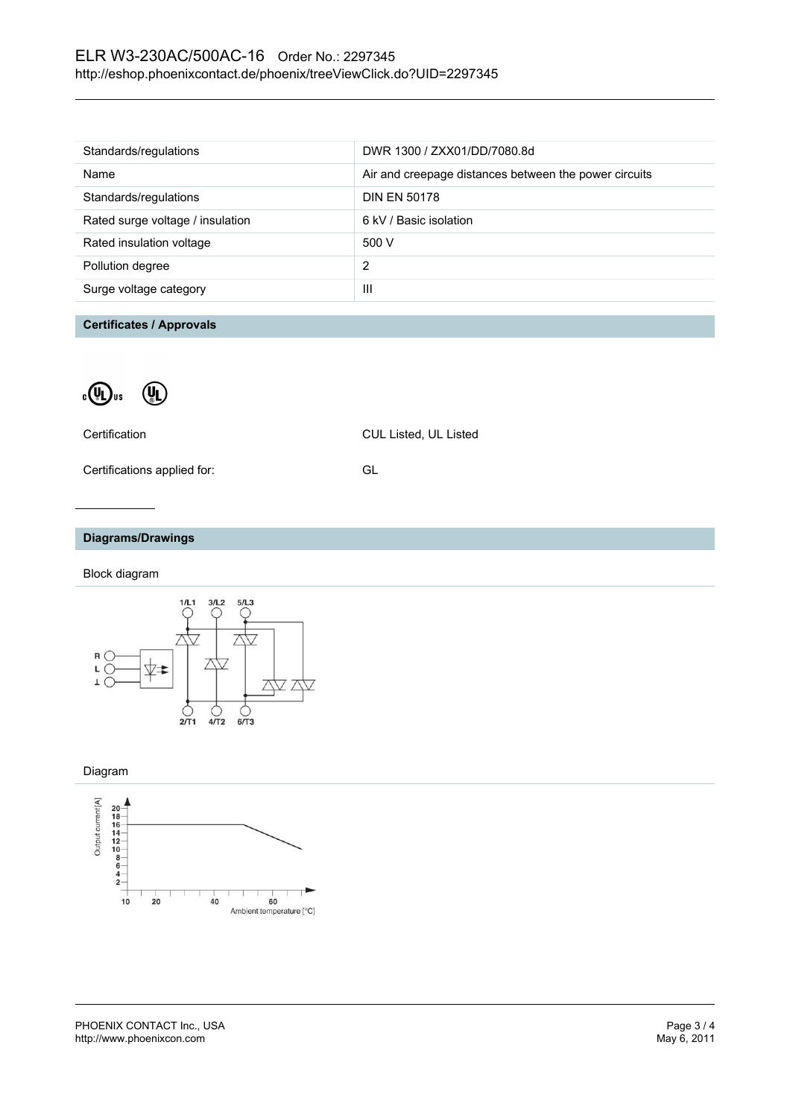| Standards/regulations            | DWR 1300 / ZXX01/DD/7080.8d                           |
|----------------------------------|-------------------------------------------------------|
| Name                             | Air and creepage distances between the power circuits |
| Standards/regulations            | <b>DIN EN 50178</b>                                   |
| Rated surge voltage / insulation | 6 kV / Basic isolation                                |
| Rated insulation voltage         | 500 V                                                 |
| Pollution degree                 | 2                                                     |
| Surge voltage category           | Ш                                                     |
|                                  |                                                       |

**Certificates / Approvals**



Certification CUL Listed, UL Listed

Certifications applied for: GL

## **Diagrams/Drawings**

Block diagram



Diagram